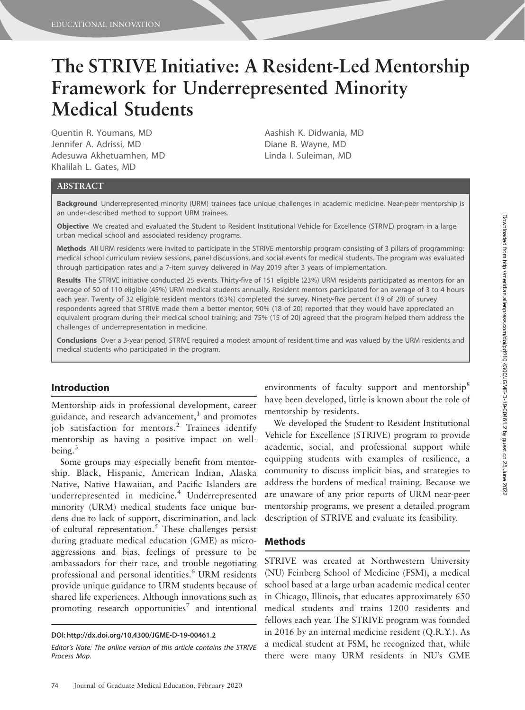# The STRIVE Initiative: A Resident-Led Mentorship Framework for Underrepresented Minority Medical Students

Quentin R. Youmans, MD Jennifer A. Adrissi, MD Adesuwa Akhetuamhen, MD Khalilah L. Gates, MD

Aashish K. Didwania, MD Diane B. Wayne, MD Linda I. Suleiman, MD

### ABSTRACT

Background Underrepresented minority (URM) trainees face unique challenges in academic medicine. Near-peer mentorship is an under-described method to support URM trainees.

Objective We created and evaluated the Student to Resident Institutional Vehicle for Excellence (STRIVE) program in a large urban medical school and associated residency programs.

Methods All URM residents were invited to participate in the STRIVE mentorship program consisting of 3 pillars of programming: medical school curriculum review sessions, panel discussions, and social events for medical students. The program was evaluated through participation rates and a 7-item survey delivered in May 2019 after 3 years of implementation.

Results The STRIVE initiative conducted 25 events. Thirty-five of 151 eligible (23%) URM residents participated as mentors for an average of 50 of 110 eligible (45%) URM medical students annually. Resident mentors participated for an average of 3 to 4 hours each year. Twenty of 32 eligible resident mentors (63%) completed the survey. Ninety-five percent (19 of 20) of survey respondents agreed that STRIVE made them a better mentor; 90% (18 of 20) reported that they would have appreciated an equivalent program during their medical school training; and 75% (15 of 20) agreed that the program helped them address the challenges of underrepresentation in medicine.

Conclusions Over a 3-year period, STRIVE required a modest amount of resident time and was valued by the URM residents and medical students who participated in the program.

#### Introduction

Mentorship aids in professional development, career guidance, and research advancement, $<sup>1</sup>$  and promotes</sup> job satisfaction for mentors.<sup>2</sup> Trainees identify mentorship as having a positive impact on wellbeing. $3$ 

Some groups may especially benefit from mentorship. Black, Hispanic, American Indian, Alaska Native, Native Hawaiian, and Pacific Islanders are underrepresented in medicine.<sup>4</sup> Underrepresented minority (URM) medical students face unique burdens due to lack of support, discrimination, and lack of cultural representation.<sup>5</sup> These challenges persist during graduate medical education (GME) as microaggressions and bias, feelings of pressure to be ambassadors for their race, and trouble negotiating professional and personal identities.<sup>6</sup> URM residents provide unique guidance to URM students because of shared life experiences. Although innovations such as promoting research opportunities<sup>7</sup> and intentional

environments of faculty support and mentorship<sup>8</sup> have been developed, little is known about the role of mentorship by residents.

We developed the Student to Resident Institutional Vehicle for Excellence (STRIVE) program to provide academic, social, and professional support while equipping students with examples of resilience, a community to discuss implicit bias, and strategies to address the burdens of medical training. Because we are unaware of any prior reports of URM near-peer mentorship programs, we present a detailed program description of STRIVE and evaluate its feasibility.

## Methods

STRIVE was created at Northwestern University (NU) Feinberg School of Medicine (FSM), a medical school based at a large urban academic medical center in Chicago, Illinois, that educates approximately 650 medical students and trains 1200 residents and fellows each year. The STRIVE program was founded in 2016 by an internal medicine resident (Q.R.Y.). As a medical student at FSM, he recognized that, while there were many URM residents in NU's GME

DOI: http://dx.doi.org/10.4300/JGME-D-19-00461.2

Editor's Note: The online version of this article contains the STRIVE Process Map.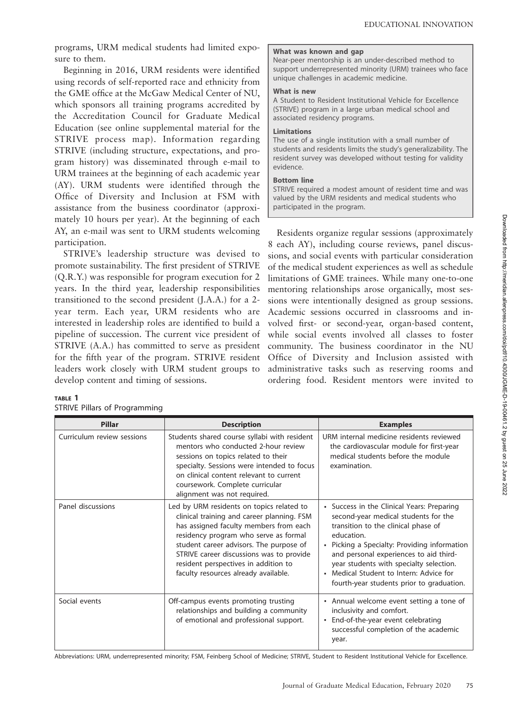programs, URM medical students had limited exposure to them.

Beginning in 2016, URM residents were identified using records of self-reported race and ethnicity from the GME office at the McGaw Medical Center of NU, which sponsors all training programs accredited by the Accreditation Council for Graduate Medical Education (see online supplemental material for the STRIVE process map). Information regarding STRIVE (including structure, expectations, and program history) was disseminated through e-mail to URM trainees at the beginning of each academic year (AY). URM students were identified through the Office of Diversity and Inclusion at FSM with assistance from the business coordinator (approximately 10 hours per year). At the beginning of each AY, an e-mail was sent to URM students welcoming participation.

STRIVE's leadership structure was devised to promote sustainability. The first president of STRIVE (Q.R.Y.) was responsible for program execution for 2 years. In the third year, leadership responsibilities transitioned to the second president (J.A.A.) for a 2 year term. Each year, URM residents who are interested in leadership roles are identified to build a pipeline of succession. The current vice president of STRIVE (A.A.) has committed to serve as president for the fifth year of the program. STRIVE resident leaders work closely with URM student groups to develop content and timing of sessions.

#### TABLE 1 STRIVE Pillars of Programming

#### What was known and gap Near-peer mentorship is an under-described method to support underrepresented minority (URM) trainees who face unique challenges in academic medicine.

#### What is new

A Student to Resident Institutional Vehicle for Excellence (STRIVE) program in a large urban medical school and associated residency programs.

#### Limitations

The use of a single institution with a small number of students and residents limits the study's generalizability. The resident survey was developed without testing for validity evidence.

#### Bottom line

STRIVE required a modest amount of resident time and was valued by the URM residents and medical students who participated in the program.

Residents organize regular sessions (approximately 8 each AY), including course reviews, panel discussions, and social events with particular consideration of the medical student experiences as well as schedule limitations of GME trainees. While many one-to-one mentoring relationships arose organically, most sessions were intentionally designed as group sessions. Academic sessions occurred in classrooms and involved first- or second-year, organ-based content, while social events involved all classes to foster community. The business coordinator in the NU Office of Diversity and Inclusion assisted with administrative tasks such as reserving rooms and ordering food. Resident mentors were invited to

| <b>Pillar</b>              | <b>Description</b>                                                                                                                                                                                                                                                                                                                                | <b>Examples</b>                                                                                                                                                                                                                                                                                                                                                      |  |  |
|----------------------------|---------------------------------------------------------------------------------------------------------------------------------------------------------------------------------------------------------------------------------------------------------------------------------------------------------------------------------------------------|----------------------------------------------------------------------------------------------------------------------------------------------------------------------------------------------------------------------------------------------------------------------------------------------------------------------------------------------------------------------|--|--|
| Curriculum review sessions | Students shared course syllabi with resident<br>mentors who conducted 2-hour review<br>sessions on topics related to their<br>specialty. Sessions were intended to focus<br>on clinical content relevant to current<br>coursework. Complete curricular<br>alignment was not required.                                                             | URM internal medicine residents reviewed<br>the cardiovascular module for first-year<br>medical students before the module<br>examination.                                                                                                                                                                                                                           |  |  |
| Panel discussions          | Led by URM residents on topics related to<br>clinical training and career planning. FSM<br>has assigned faculty members from each<br>residency program who serve as formal<br>student career advisors. The purpose of<br>STRIVE career discussions was to provide<br>resident perspectives in addition to<br>faculty resources already available. | • Success in the Clinical Years: Preparing<br>second-year medical students for the<br>transition to the clinical phase of<br>education.<br>• Picking a Specialty: Providing information<br>and personal experiences to aid third-<br>year students with specialty selection.<br>• Medical Student to Intern: Advice for<br>fourth-year students prior to graduation. |  |  |
| Social events              | Off-campus events promoting trusting<br>relationships and building a community<br>of emotional and professional support.                                                                                                                                                                                                                          | • Annual welcome event setting a tone of<br>inclusivity and comfort.<br>• End-of-the-year event celebrating<br>successful completion of the academic<br>year.                                                                                                                                                                                                        |  |  |

Abbreviations: URM, underrepresented minority; FSM, Feinberg School of Medicine; STRIVE, Student to Resident Institutional Vehicle for Excellence.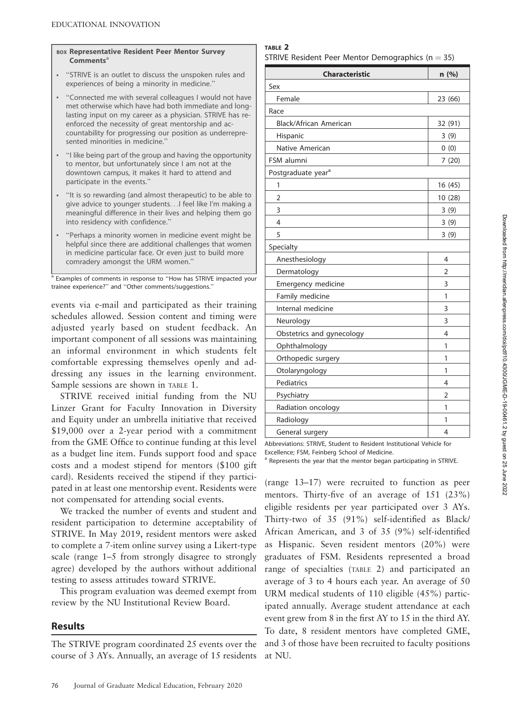#### BOX Representative Resident Peer Mentor Survey  $$

- & ''STRIVE is an outlet to discuss the unspoken rules and experiences of being a minority in medicine.''
- & ''Connected me with several colleagues I would not have met otherwise which have had both immediate and longlasting input on my career as a physician. STRIVE has reenforced the necessity of great mentorship and accountability for progressing our position as underrepresented minorities in medicine.''
- & ''I like being part of the group and having the opportunity to mentor, but unfortunately since I am not at the downtown campus, it makes it hard to attend and participate in the events.''
- & ''It is so rewarding (and almost therapeutic) to be able to give advice to younger students...I feel like I'm making a meaningful difference in their lives and helping them go into residency with confidence.''
- & ''Perhaps a minority women in medicine event might be helpful since there are additional challenges that women in medicine particular face. Or even just to build more comradery amongst the URM women.''

Examples of comments in response to "How has STRIVE impacted your trainee experience?'' and ''Other comments/suggestions.''

events via e-mail and participated as their training schedules allowed. Session content and timing were adjusted yearly based on student feedback. An important component of all sessions was maintaining an informal environment in which students felt comfortable expressing themselves openly and addressing any issues in the learning environment. Sample sessions are shown in TABLE 1.

STRIVE received initial funding from the NU Linzer Grant for Faculty Innovation in Diversity and Equity under an umbrella initiative that received \$19,000 over a 2-year period with a commitment from the GME Office to continue funding at this level as a budget line item. Funds support food and space costs and a modest stipend for mentors (\$100 gift card). Residents received the stipend if they participated in at least one mentorship event. Residents were not compensated for attending social events.

We tracked the number of events and student and resident participation to determine acceptability of STRIVE. In May 2019, resident mentors were asked to complete a 7-item online survey using a Likert-type scale (range 1–5 from strongly disagree to strongly agree) developed by the authors without additional testing to assess attitudes toward STRIVE.

This program evaluation was deemed exempt from review by the NU Institutional Review Board.

## Results

The STRIVE program coordinated 25 events over the course of 3 AYs. Annually, an average of 15 residents

#### TABLE 2

STRIVE Resident Peer Mentor Demographics ( $n = 35$ )

| <b>Characteristic</b>          | n (%)          |  |  |  |  |  |
|--------------------------------|----------------|--|--|--|--|--|
| Sex                            |                |  |  |  |  |  |
| Female                         | 23 (66)        |  |  |  |  |  |
| Race                           |                |  |  |  |  |  |
| Black/African American         | 32 (91)        |  |  |  |  |  |
| Hispanic                       | 3(9)           |  |  |  |  |  |
| Native American                | 0(0)           |  |  |  |  |  |
| FSM alumni                     | 7(20)          |  |  |  |  |  |
| Postgraduate year <sup>a</sup> |                |  |  |  |  |  |
| 1                              | 16 (45)        |  |  |  |  |  |
| $\overline{2}$                 | 10 (28)        |  |  |  |  |  |
| 3                              | 3(9)           |  |  |  |  |  |
| 4                              | 3(9)           |  |  |  |  |  |
| 5                              | 3(9)           |  |  |  |  |  |
| Specialty                      |                |  |  |  |  |  |
| Anesthesiology                 | 4              |  |  |  |  |  |
| Dermatology                    | $\overline{2}$ |  |  |  |  |  |
| Emergency medicine             | 3              |  |  |  |  |  |
| Family medicine                | 1              |  |  |  |  |  |
| Internal medicine              | 3              |  |  |  |  |  |
| Neurology                      | 3              |  |  |  |  |  |
| Obstetrics and gynecology      | 4              |  |  |  |  |  |
| Ophthalmology                  | 1              |  |  |  |  |  |
| Orthopedic surgery             | 1              |  |  |  |  |  |
| Otolaryngology                 | 1              |  |  |  |  |  |
| Pediatrics                     | 4              |  |  |  |  |  |
| Psychiatry                     | $\overline{2}$ |  |  |  |  |  |
| Radiation oncology             | 1              |  |  |  |  |  |
| Radiology                      | 1              |  |  |  |  |  |
| General surgery                | 4              |  |  |  |  |  |

Abbreviations: STRIVE, Student to Resident Institutional Vehicle for Excellence; FSM, Feinberg School of Medicine.

<sup>a</sup> Represents the year that the mentor began participating in STRIVE.

(range 13–17) were recruited to function as peer mentors. Thirty-five of an average of 151 (23%) eligible residents per year participated over 3 AYs. Thirty-two of 35 (91%) self-identified as Black/ African American, and 3 of 35 (9%) self-identified as Hispanic. Seven resident mentors (20%) were graduates of FSM. Residents represented a broad range of specialties (TABLE 2) and participated an average of 3 to 4 hours each year. An average of 50 URM medical students of 110 eligible (45%) participated annually. Average student attendance at each event grew from 8 in the first AY to 15 in the third AY. To date, 8 resident mentors have completed GME, and 3 of those have been recruited to faculty positions at NU.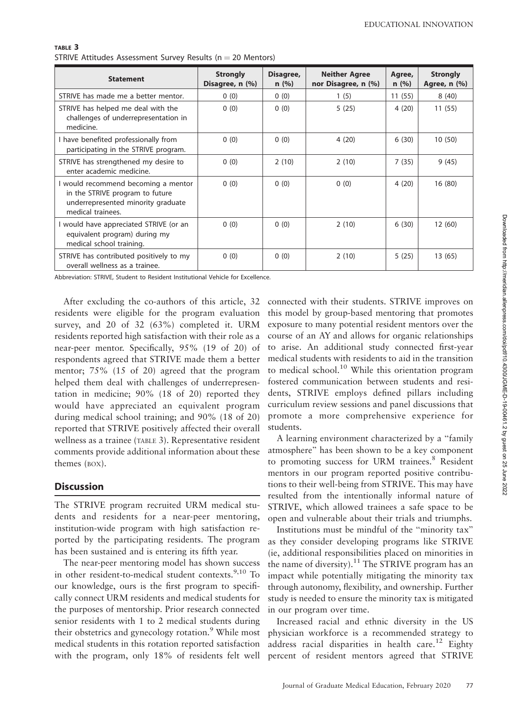| <b>Statement</b>                                                                                                                  | <b>Strongly</b><br>Disagree, n (%) | Disagree,<br>n(%) | <b>Neither Agree</b><br>nor Disagree, n (%) | Agree,<br>n(%) | <b>Strongly</b><br>Agree, n (%) |
|-----------------------------------------------------------------------------------------------------------------------------------|------------------------------------|-------------------|---------------------------------------------|----------------|---------------------------------|
| STRIVE has made me a better mentor.                                                                                               | 0(0)                               | 0(0)              | 1(5)                                        | 11(55)         | 8(40)                           |
| STRIVE has helped me deal with the<br>challenges of underrepresentation in<br>medicine.                                           | 0(0)                               | 0(0)              | 5(25)                                       | 4(20)          | 11(55)                          |
| I have benefited professionally from<br>participating in the STRIVE program.                                                      | 0(0)                               | 0(0)              | 4(20)                                       | 6(30)          | 10(50)                          |
| STRIVE has strengthened my desire to<br>enter academic medicine.                                                                  | 0(0)                               | 2(10)             | 2(10)                                       | 7(35)          | 9(45)                           |
| I would recommend becoming a mentor<br>in the STRIVE program to future<br>underrepresented minority graduate<br>medical trainees. | 0(0)                               | 0(0)              | 0(0)                                        | 4(20)          | 16(80)                          |
| I would have appreciated STRIVE (or an<br>equivalent program) during my<br>medical school training.                               | 0(0)                               | 0(0)              | 2(10)                                       | 6(30)          | 12(60)                          |
| STRIVE has contributed positively to my<br>overall wellness as a trainee.                                                         | 0(0)                               | 0(0)              | 2(10)                                       | 5(25)          | 13 (65)                         |

TABLE 3 STRIVE Attitudes Assessment Survey Results ( $n = 20$  Mentors)

Abbreviation: STRIVE, Student to Resident Institutional Vehicle for Excellence.

After excluding the co-authors of this article, 32 residents were eligible for the program evaluation survey, and 20 of 32 (63%) completed it. URM residents reported high satisfaction with their role as a near-peer mentor. Specifically, 95% (19 of 20) of respondents agreed that STRIVE made them a better mentor; 75% (15 of 20) agreed that the program helped them deal with challenges of underrepresentation in medicine; 90% (18 of 20) reported they would have appreciated an equivalent program during medical school training; and 90% (18 of 20) reported that STRIVE positively affected their overall wellness as a trainee (TABLE 3). Representative resident comments provide additional information about these themes (BOX).

## **Discussion**

The STRIVE program recruited URM medical students and residents for a near-peer mentoring, institution-wide program with high satisfaction reported by the participating residents. The program has been sustained and is entering its fifth year.

The near-peer mentoring model has shown success in other resident-to-medical student contexts.<sup>9,10</sup> To our knowledge, ours is the first program to specifically connect URM residents and medical students for the purposes of mentorship. Prior research connected senior residents with 1 to 2 medical students during their obstetrics and gynecology rotation.<sup>9</sup> While most medical students in this rotation reported satisfaction with the program, only 18% of residents felt well

connected with their students. STRIVE improves on this model by group-based mentoring that promotes exposure to many potential resident mentors over the course of an AY and allows for organic relationships to arise. An additional study connected first-year medical students with residents to aid in the transition to medical school.<sup>10</sup> While this orientation program fostered communication between students and residents, STRIVE employs defined pillars including curriculum review sessions and panel discussions that promote a more comprehensive experience for students.

A learning environment characterized by a ''family atmosphere'' has been shown to be a key component to promoting success for URM trainees.<sup>8</sup> Resident mentors in our program reported positive contributions to their well-being from STRIVE. This may have resulted from the intentionally informal nature of STRIVE, which allowed trainees a safe space to be open and vulnerable about their trials and triumphs.

Institutions must be mindful of the ''minority tax'' as they consider developing programs like STRIVE (ie, additional responsibilities placed on minorities in the name of diversity).<sup>11</sup> The STRIVE program has an impact while potentially mitigating the minority tax through autonomy, flexibility, and ownership. Further study is needed to ensure the minority tax is mitigated in our program over time.

Increased racial and ethnic diversity in the US physician workforce is a recommended strategy to address racial disparities in health care.<sup>12</sup> Eighty percent of resident mentors agreed that STRIVE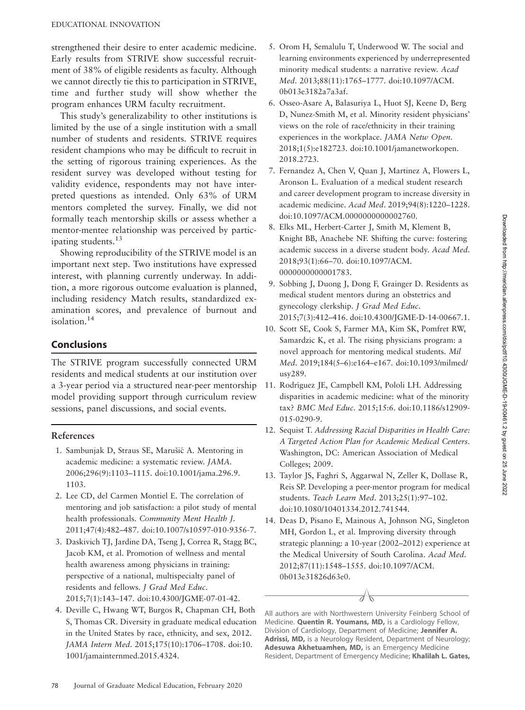strengthened their desire to enter academic medicine. Early results from STRIVE show successful recruitment of 38% of eligible residents as faculty. Although we cannot directly tie this to participation in STRIVE, time and further study will show whether the program enhances URM faculty recruitment.

This study's generalizability to other institutions is limited by the use of a single institution with a small number of students and residents. STRIVE requires resident champions who may be difficult to recruit in the setting of rigorous training experiences. As the resident survey was developed without testing for validity evidence, respondents may not have interpreted questions as intended. Only 63% of URM mentors completed the survey. Finally, we did not formally teach mentorship skills or assess whether a mentor-mentee relationship was perceived by participating students.<sup>13</sup>

Showing reproducibility of the STRIVE model is an important next step. Two institutions have expressed interest, with planning currently underway. In addition, a more rigorous outcome evaluation is planned, including residency Match results, standardized examination scores, and prevalence of burnout and isolation.<sup>14</sup>

# Conclusions

The STRIVE program successfully connected URM residents and medical students at our institution over a 3-year period via a structured near-peer mentorship model providing support through curriculum review sessions, panel discussions, and social events.

## References

- 1. Sambunjak D, Straus SE, Marušić A. Mentoring in academic medicine: a systematic review. JAMA. 2006;296(9):1103–1115. doi:10.1001/jama.296.9. 1103.
- 2. Lee CD, del Carmen Montiel E. The correlation of mentoring and job satisfaction: a pilot study of mental health professionals. Community Ment Health J. 2011;47(4):482–487. doi:10.1007/s10597-010-9356-7.
- 3. Daskivich TJ, Jardine DA, Tseng J, Correa R, Stagg BC, Jacob KM, et al. Promotion of wellness and mental health awareness among physicians in training: perspective of a national, multispecialty panel of residents and fellows. J Grad Med Educ. 2015;7(1):143–147. doi:10.4300/JGME-07-01-42.
- 4. Deville C, Hwang WT, Burgos R, Chapman CH, Both S, Thomas CR. Diversity in graduate medical education in the United States by race, ethnicity, and sex, 2012. JAMA Intern Med. 2015;175(10):1706–1708. doi:10. 1001/jamainternmed.2015.4324.
- 5. Orom H, Semalulu T, Underwood W. The social and learning environments experienced by underrepresented minority medical students: a narrative review. Acad Med. 2013;88(11):1765–1777. doi:10.1097/ACM. 0b013e3182a7a3af.
- 6. Osseo-Asare A, Balasuriya L, Huot SJ, Keene D, Berg D, Nunez-Smith M, et al. Minority resident physicians' views on the role of race/ethnicity in their training experiences in the workplace. JAMA Netw Open. 2018;1(5):e182723. doi:10.1001/jamanetworkopen. 2018.2723.
- 7. Fernandez A, Chen V, Quan J, Martinez A, Flowers L, Aronson L. Evaluation of a medical student research and career development program to increase diversity in academic medicine. Acad Med. 2019;94(8):1220–1228. doi:10.1097/ACM.0000000000002760.
- 8. Elks ML, Herbert-Carter J, Smith M, Klement B, Knight BB, Anachebe NF. Shifting the curve: fostering academic success in a diverse student body. Acad Med. 2018;93(1):66–70. doi:10.1097/ACM. 0000000000001783.
- 9. Sobbing J, Duong J, Dong F, Grainger D. Residents as medical student mentors during an obstetrics and gynecology clerkship. J Grad Med Educ. 2015;7(3):412–416. doi:10.4300/JGME-D-14-00667.1.
- 10. Scott SE, Cook S, Farmer MA, Kim SK, Pomfret RW, Samardzic K, et al. The rising physicians program: a novel approach for mentoring medical students. Mil Med. 2019;184(5–6):e164–e167. doi:10.1093/milmed/ usy289.
- 11. Rodríguez JE, Campbell KM, Pololi LH. Addressing disparities in academic medicine: what of the minority tax? BMC Med Educ. 2015;15:6. doi:10.1186/s12909- 015-0290-9.
- 12. Sequist T. Addressing Racial Disparities in Health Care: A Targeted Action Plan for Academic Medical Centers. Washington, DC: American Association of Medical Colleges; 2009.
- 13. Taylor JS, Faghri S, Aggarwal N, Zeller K, Dollase R, Reis SP. Developing a peer-mentor program for medical students. Teach Learn Med. 2013;25(1):97–102. doi:10.1080/10401334.2012.741544.
- 14. Deas D, Pisano E, Mainous A, Johnson NG, Singleton MH, Gordon L, et al. Improving diversity through strategic planning: a 10-year (2002–2012) experience at the Medical University of South Carolina. Acad Med. 2012;87(11):1548–1555. doi:10.1097/ACM. 0b013e31826d63e0.

All authors are with Northwestern University Feinberg School of Medicine. Quentin R. Youmans, MD, is a Cardiology Fellow, Division of Cardiology, Department of Medicine; Jennifer A. Adrissi, MD, is a Neurology Resident, Department of Neurology; Adesuwa Akhetuamhen, MD, is an Emergency Medicine Resident, Department of Emergency Medicine; Khalilah L. Gates,

7 K